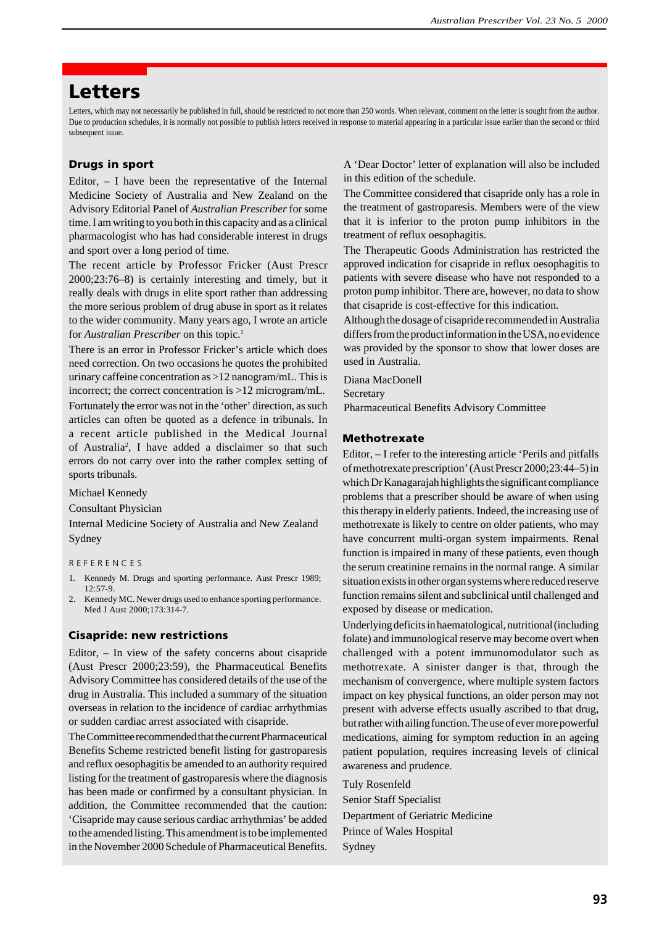# **Letters**

Letters, which may not necessarily be published in full, should be restricted to not more than 250 words. When relevant, comment on the letter is sought from the author. Due to production schedules, it is normally not possible to publish letters received in response to material appearing in a particular issue earlier than the second or third subsequent issue.

# **Drugs in sport**

Editor,  $-$  I have been the representative of the Internal Medicine Society of Australia and New Zealand on the Advisory Editorial Panel of *Australian Prescriber* for some time. I am writing to you both in this capacity and as a clinical pharmacologist who has had considerable interest in drugs and sport over a long period of time.

The recent article by Professor Fricker (Aust Prescr 2000;23:76–8) is certainly interesting and timely, but it really deals with drugs in elite sport rather than addressing the more serious problem of drug abuse in sport as it relates to the wider community. Many years ago, I wrote an article for *Australian Prescriber* on this topic.<sup>1</sup>

There is an error in Professor Fricker's article which does need correction. On two occasions he quotes the prohibited urinary caffeine concentration as >12 nanogram/mL. This is incorrect; the correct concentration is >12 microgram/mL.

Fortunately the error was not in the 'other' direction, as such articles can often be quoted as a defence in tribunals. In a recent article published in the Medical Journal of Australia<sup>2</sup>, I have added a disclaimer so that such errors do not carry over into the rather complex setting of sports tribunals.

Michael Kennedy

Consultant Physician

Internal Medicine Society of Australia and New Zealand Sydney

R E F E R E N C E S

- 1. Kennedy M. Drugs and sporting performance. Aust Prescr 1989; 12:57-9.
- 2. Kennedy MC. Newer drugs used to enhance sporting performance. Med J Aust 2000;173:314-7.

#### **Cisapride: new restrictions**

Editor, – In view of the safety concerns about cisapride (Aust Prescr 2000;23:59), the Pharmaceutical Benefits Advisory Committee has considered details of the use of the drug in Australia. This included a summary of the situation overseas in relation to the incidence of cardiac arrhythmias or sudden cardiac arrest associated with cisapride.

The Committee recommended that the current Pharmaceutical Benefits Scheme restricted benefit listing for gastroparesis and reflux oesophagitis be amended to an authority required listing for the treatment of gastroparesis where the diagnosis has been made or confirmed by a consultant physician. In addition, the Committee recommended that the caution: 'Cisapride may cause serious cardiac arrhythmias' be added to the amended listing. This amendment is to be implemented in the November 2000 Schedule of Pharmaceutical Benefits. A 'Dear Doctor' letter of explanation will also be included in this edition of the schedule.

The Committee considered that cisapride only has a role in the treatment of gastroparesis. Members were of the view that it is inferior to the proton pump inhibitors in the treatment of reflux oesophagitis.

The Therapeutic Goods Administration has restricted the approved indication for cisapride in reflux oesophagitis to patients with severe disease who have not responded to a proton pump inhibitor. There are, however, no data to show that cisapride is cost-effective for this indication.

Although the dosage of cisapride recommended in Australia differs from the product information in the USA, no evidence was provided by the sponsor to show that lower doses are used in Australia.

Diana MacDonell

Secretary

Pharmaceutical Benefits Advisory Committee

## **Methotrexate**

Editor, – I refer to the interesting article 'Perils and pitfalls of methotrexate prescription' (Aust Prescr 2000;23:44–5) in which Dr Kanagarajah highlights the significant compliance problems that a prescriber should be aware of when using this therapy in elderly patients. Indeed, the increasing use of methotrexate is likely to centre on older patients, who may have concurrent multi-organ system impairments. Renal function is impaired in many of these patients, even though the serum creatinine remains in the normal range. A similar situation exists in other organ systems where reduced reserve function remains silent and subclinical until challenged and exposed by disease or medication.

Underlying deficits in haematological, nutritional (including folate) and immunological reserve may become overt when challenged with a potent immunomodulator such as methotrexate. A sinister danger is that, through the mechanism of convergence, where multiple system factors impact on key physical functions, an older person may not present with adverse effects usually ascribed to that drug, but rather with ailing function. The use of ever more powerful medications, aiming for symptom reduction in an ageing patient population, requires increasing levels of clinical awareness and prudence.

Tuly Rosenfeld Senior Staff Specialist Department of Geriatric Medicine Prince of Wales Hospital Sydney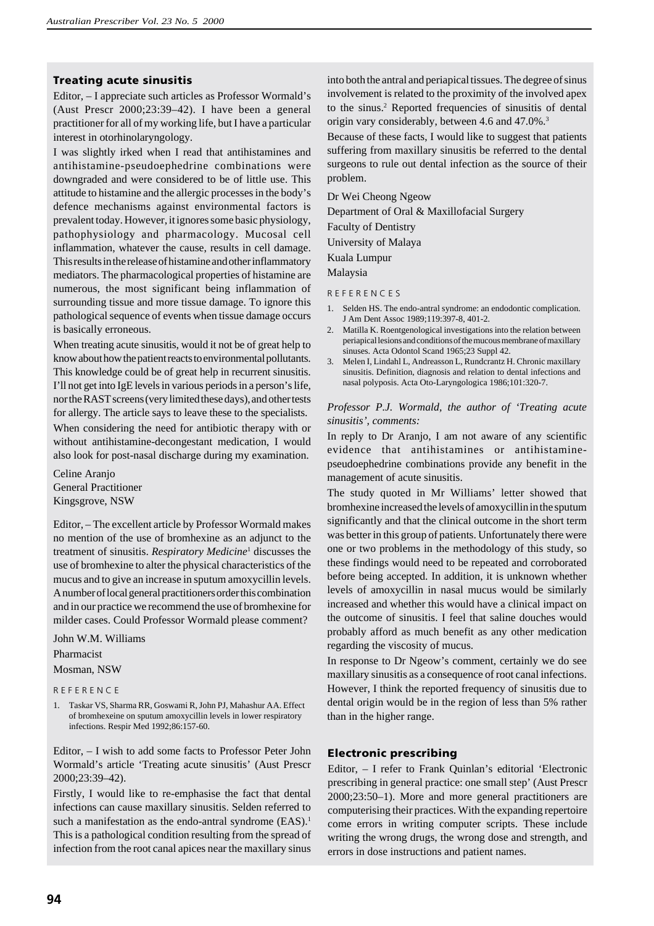## **Treating acute sinusitis**

Editor, – I appreciate such articles as Professor Wormald's (Aust Prescr 2000;23:39–42). I have been a general practitioner for all of my working life, but I have a particular interest in otorhinolaryngology.

I was slightly irked when I read that antihistamines and antihistamine-pseudoephedrine combinations were downgraded and were considered to be of little use. This attitude to histamine and the allergic processes in the body's defence mechanisms against environmental factors is prevalent today. However, it ignores some basic physiology, pathophysiology and pharmacology. Mucosal cell inflammation, whatever the cause, results in cell damage. This results in the release of histamine and other inflammatory mediators. The pharmacological properties of histamine are numerous, the most significant being inflammation of surrounding tissue and more tissue damage. To ignore this pathological sequence of events when tissue damage occurs is basically erroneous.

When treating acute sinusitis, would it not be of great help to know about how the patient reacts to environmental pollutants. This knowledge could be of great help in recurrent sinusitis. I'll not get into IgE levels in various periods in a person's life, nor the RAST screens (very limited these days), and other tests for allergy. The article says to leave these to the specialists.

When considering the need for antibiotic therapy with or without antihistamine-decongestant medication, I would also look for post-nasal discharge during my examination.

Celine Aranjo General Practitioner Kingsgrove, NSW

Editor, – The excellent article by Professor Wormald makes no mention of the use of bromhexine as an adjunct to the treatment of sinusitis. *Respiratory Medicine*<sup>1</sup> discusses the use of bromhexine to alter the physical characteristics of the mucus and to give an increase in sputum amoxycillin levels. A number of local general practitioners order this combination and in our practice we recommend the use of bromhexine for milder cases. Could Professor Wormald please comment?

John W.M. Williams

### Pharmacist

#### Mosman, NSW

R E F E R E N C E

1. Taskar VS, Sharma RR, Goswami R, John PJ, Mahashur AA. Effect of bromhexeine on sputum amoxycillin levels in lower respiratory infections. Respir Med 1992;86:157-60.

Editor, – I wish to add some facts to Professor Peter John Wormald's article 'Treating acute sinusitis' (Aust Prescr 2000;23:39–42).

Firstly, I would like to re-emphasise the fact that dental infections can cause maxillary sinusitis. Selden referred to such a manifestation as the endo-antral syndrome (EAS).<sup>1</sup> This is a pathological condition resulting from the spread of infection from the root canal apices near the maxillary sinus into both the antral and periapical tissues. The degree of sinus involvement is related to the proximity of the involved apex to the sinus.<sup>2</sup> Reported frequencies of sinusitis of dental origin vary considerably, between 4.6 and 47.0%.3

Because of these facts, I would like to suggest that patients suffering from maxillary sinusitis be referred to the dental surgeons to rule out dental infection as the source of their problem.

Dr Wei Cheong Ngeow

Department of Oral & Maxillofacial Surgery

Faculty of Dentistry

University of Malaya

Kuala Lumpur

Malaysia

R E F E R E N C E S

- 1. Selden HS. The endo-antral syndrome: an endodontic complication. J Am Dent Assoc 1989;119:397-8, 401-2.
- 2. Matilla K. Roentgenological investigations into the relation between periapical lesions and conditions of the mucous membrane of maxillary sinuses. Acta Odontol Scand 1965;23 Suppl 42.
- 3. Melen I, Lindahl L, Andreasson L, Rundcrantz H. Chronic maxillary sinusitis. Definition, diagnosis and relation to dental infections and nasal polyposis. Acta Oto-Laryngologica 1986;101:320-7.

## *Professor P.J. Wormald, the author of 'Treating acute sinusitis', comments:*

In reply to Dr Aranjo, I am not aware of any scientific evidence that antihistamines or antihistaminepseudoephedrine combinations provide any benefit in the management of acute sinusitis.

The study quoted in Mr Williams' letter showed that bromhexine increased the levels of amoxycillin in the sputum significantly and that the clinical outcome in the short term was better in this group of patients. Unfortunately there were one or two problems in the methodology of this study, so these findings would need to be repeated and corroborated before being accepted. In addition, it is unknown whether levels of amoxycillin in nasal mucus would be similarly increased and whether this would have a clinical impact on the outcome of sinusitis. I feel that saline douches would probably afford as much benefit as any other medication regarding the viscosity of mucus.

In response to Dr Ngeow's comment, certainly we do see maxillary sinusitis as a consequence of root canal infections. However, I think the reported frequency of sinusitis due to dental origin would be in the region of less than 5% rather than in the higher range.

# **Electronic prescribing**

Editor, – I refer to Frank Quinlan's editorial 'Electronic prescribing in general practice: one small step' (Aust Prescr 2000;23:50–1). More and more general practitioners are computerising their practices. With the expanding repertoire come errors in writing computer scripts. These include writing the wrong drugs, the wrong dose and strength, and errors in dose instructions and patient names.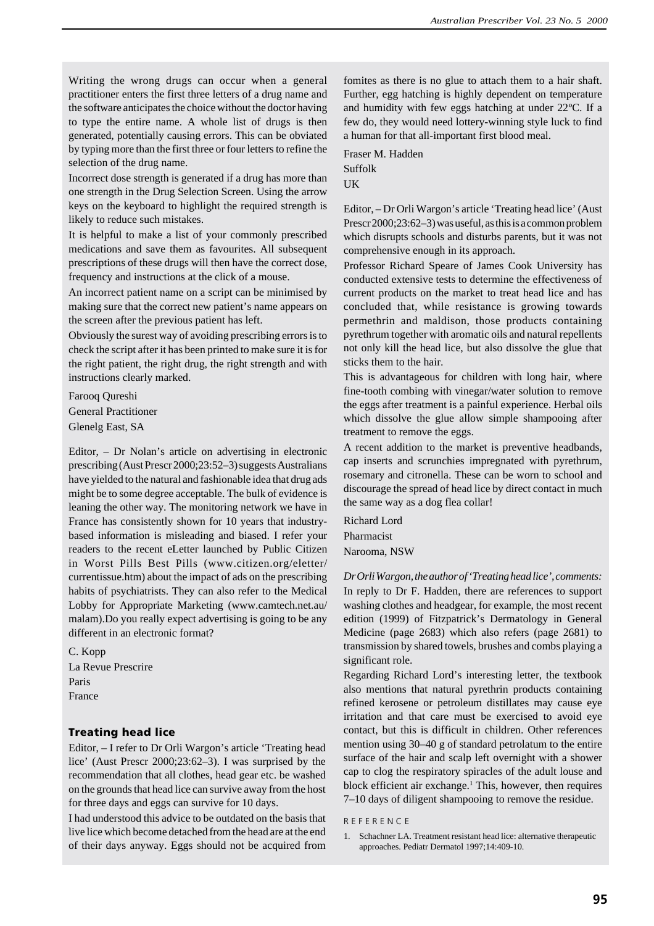Writing the wrong drugs can occur when a general practitioner enters the first three letters of a drug name and the software anticipates the choice without the doctor having to type the entire name. A whole list of drugs is then generated, potentially causing errors. This can be obviated by typing more than the first three or four letters to refine the selection of the drug name.

Incorrect dose strength is generated if a drug has more than one strength in the Drug Selection Screen. Using the arrow keys on the keyboard to highlight the required strength is likely to reduce such mistakes.

It is helpful to make a list of your commonly prescribed medications and save them as favourites. All subsequent prescriptions of these drugs will then have the correct dose, frequency and instructions at the click of a mouse.

An incorrect patient name on a script can be minimised by making sure that the correct new patient's name appears on the screen after the previous patient has left.

Obviously the surest way of avoiding prescribing errors is to check the script after it has been printed to make sure it is for the right patient, the right drug, the right strength and with instructions clearly marked.

Farooq Qureshi General Practitioner Glenelg East, SA

Editor, – Dr Nolan's article on advertising in electronic prescribing (Aust Prescr 2000;23:52–3) suggests Australians have yielded to the natural and fashionable idea that drug ads might be to some degree acceptable. The bulk of evidence is leaning the other way. The monitoring network we have in France has consistently shown for 10 years that industrybased information is misleading and biased. I refer your readers to the recent eLetter launched by Public Citizen in Worst Pills Best Pills (www.citizen.org/eletter/ currentissue.htm) about the impact of ads on the prescribing habits of psychiatrists. They can also refer to the Medical Lobby for Appropriate Marketing (www.camtech.net.au/ malam).Do you really expect advertising is going to be any different in an electronic format?

C. Kopp La Revue Prescrire Paris France

# **Treating head lice**

Editor, – I refer to Dr Orli Wargon's article 'Treating head lice' (Aust Prescr 2000;23:62–3). I was surprised by the recommendation that all clothes, head gear etc. be washed on the grounds that head lice can survive away from the host for three days and eggs can survive for 10 days.

I had understood this advice to be outdated on the basis that live lice which become detached from the head are at the end of their days anyway. Eggs should not be acquired from fomites as there is no glue to attach them to a hair shaft. Further, egg hatching is highly dependent on temperature and humidity with few eggs hatching at under 22ºC. If a few do, they would need lottery-winning style luck to find a human for that all-important first blood meal.

Fraser M. Hadden Suffolk **UK** 

Editor, – Dr Orli Wargon's article 'Treating head lice' (Aust Prescr 2000;23:62–3) was useful, as this is a common problem which disrupts schools and disturbs parents, but it was not comprehensive enough in its approach.

Professor Richard Speare of James Cook University has conducted extensive tests to determine the effectiveness of current products on the market to treat head lice and has concluded that, while resistance is growing towards permethrin and maldison, those products containing pyrethrum together with aromatic oils and natural repellents not only kill the head lice, but also dissolve the glue that sticks them to the hair.

This is advantageous for children with long hair, where fine-tooth combing with vinegar/water solution to remove the eggs after treatment is a painful experience. Herbal oils which dissolve the glue allow simple shampooing after treatment to remove the eggs.

A recent addition to the market is preventive headbands, cap inserts and scrunchies impregnated with pyrethrum, rosemary and citronella. These can be worn to school and discourage the spread of head lice by direct contact in much the same way as a dog flea collar!

Richard Lord Pharmacist Narooma, NSW

*Dr Orli Wargon, the author of 'Treating head lice', comments:* In reply to Dr F. Hadden, there are references to support washing clothes and headgear, for example, the most recent edition (1999) of Fitzpatrick's Dermatology in General Medicine (page 2683) which also refers (page 2681) to transmission by shared towels, brushes and combs playing a significant role.

Regarding Richard Lord's interesting letter, the textbook also mentions that natural pyrethrin products containing refined kerosene or petroleum distillates may cause eye irritation and that care must be exercised to avoid eye contact, but this is difficult in children. Other references mention using 30–40 g of standard petrolatum to the entire surface of the hair and scalp left overnight with a shower cap to clog the respiratory spiracles of the adult louse and block efficient air exchange.<sup>1</sup> This, however, then requires 7–10 days of diligent shampooing to remove the residue.

#### R E F E R E N C E

1. Schachner LA. Treatment resistant head lice: alternative therapeutic approaches. Pediatr Dermatol 1997;14:409-10.